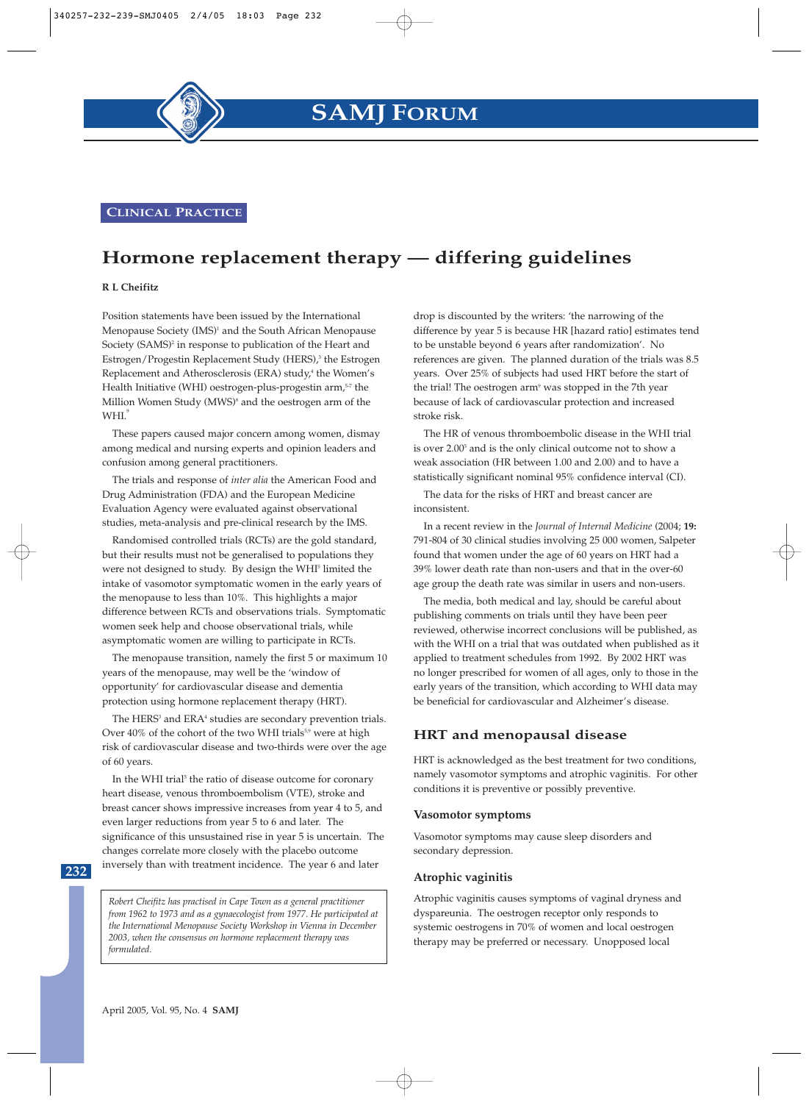**CLINICAL PRACTICE**

## **Hormone replacement therapy — differing guidelines**

#### **R L Cheifitz**

Position statements have been issued by the International Menopause Society (IMS)<sup>1</sup> and the South African Menopause Society (SAMS)<sup>2</sup> in response to publication of the Heart and Estrogen/Progestin Replacement Study (HERS),<sup>3</sup> the Estrogen Replacement and Atherosclerosis (ERA) study,<sup>4</sup> the Women's Health Initiative (WHI) oestrogen-plus-progestin arm,<sup>5-7</sup> the Million Women Study (MWS)<sup>8</sup> and the oestrogen arm of the WHI<sup>'</sup>

These papers caused major concern among women, dismay among medical and nursing experts and opinion leaders and confusion among general practitioners.

The trials and response of *inter alia* the American Food and Drug Administration (FDA) and the European Medicine Evaluation Agency were evaluated against observational studies, meta-analysis and pre-clinical research by the IMS.

Randomised controlled trials (RCTs) are the gold standard, but their results must not be generalised to populations they were not designed to study. By design the WHI<sup>5</sup> limited the intake of vasomotor symptomatic women in the early years of the menopause to less than 10%. This highlights a major difference between RCTs and observations trials. Symptomatic women seek help and choose observational trials, while asymptomatic women are willing to participate in RCTs.

The menopause transition, namely the first 5 or maximum 10 years of the menopause, may well be the 'window of opportunity' for cardiovascular disease and dementia protection using hormone replacement therapy (HRT).

The HERS<sup>3</sup> and ERA<sup>4</sup> studies are secondary prevention trials. Over 40% of the cohort of the two WHI trials<sup>5,9</sup> were at high risk of cardiovascular disease and two-thirds were over the age of 60 years.

In the WHI trial<sup>5</sup> the ratio of disease outcome for coronary heart disease, venous thromboembolism (VTE), stroke and breast cancer shows impressive increases from year 4 to 5, and even larger reductions from year 5 to 6 and later. The significance of this unsustained rise in year 5 is uncertain. The changes correlate more closely with the placebo outcome inversely than with treatment incidence. The year 6 and later

**232**

*Robert Cheifitz has practised in Cape Town as a general practitioner from 1962 to 1973 and as a gynaecologist from 1977. He participated at the International Menopause Society Workshop in Vienna in December 2003, when the consensus on hormone replacement therapy was formulated.*

drop is discounted by the writers: 'the narrowing of the difference by year 5 is because HR [hazard ratio] estimates tend to be unstable beyond 6 years after randomization'. No references are given. The planned duration of the trials was 8.5 years. Over 25% of subjects had used HRT before the start of the trial! The oestrogen arm<sup>9</sup> was stopped in the 7th year because of lack of cardiovascular protection and increased stroke risk.

The HR of venous thromboembolic disease in the WHI trial is over 2.00<sup>5</sup> and is the only clinical outcome not to show a weak association (HR between 1.00 and 2.00) and to have a statistically significant nominal 95% confidence interval (CI).

The data for the risks of HRT and breast cancer are inconsistent.

In a recent review in the *Journal of Internal Medicine* (2004; **19:** 791-804 of 30 clinical studies involving 25 000 women, Salpeter found that women under the age of 60 years on HRT had a 39% lower death rate than non-users and that in the over-60 age group the death rate was similar in users and non-users.

The media, both medical and lay, should be careful about publishing comments on trials until they have been peer reviewed, otherwise incorrect conclusions will be published, as with the WHI on a trial that was outdated when published as it applied to treatment schedules from 1992. By 2002 HRT was no longer prescribed for women of all ages, only to those in the early years of the transition, which according to WHI data may be beneficial for cardiovascular and Alzheimer's disease.

## **HRT and menopausal disease**

HRT is acknowledged as the best treatment for two conditions, namely vasomotor symptoms and atrophic vaginitis. For other conditions it is preventive or possibly preventive.

#### **Vasomotor symptoms**

Vasomotor symptoms may cause sleep disorders and secondary depression.

#### **Atrophic vaginitis**

Atrophic vaginitis causes symptoms of vaginal dryness and dyspareunia. The oestrogen receptor only responds to systemic oestrogens in 70% of women and local oestrogen therapy may be preferred or necessary. Unopposed local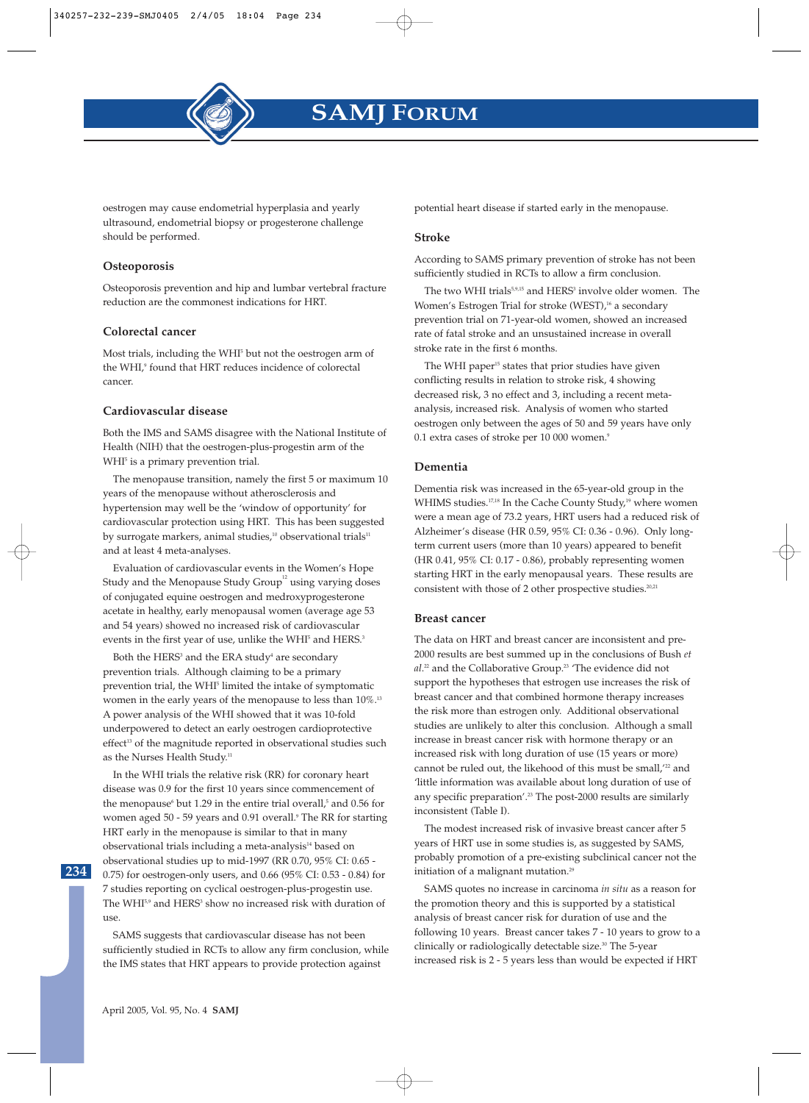

oestrogen may cause endometrial hyperplasia and yearly ultrasound, endometrial biopsy or progesterone challenge should be performed.

#### **Osteoporosis**

Osteoporosis prevention and hip and lumbar vertebral fracture reduction are the commonest indications for HRT.

#### **Colorectal cancer**

Most trials, including the WHI<sup>5</sup> but not the oestrogen arm of the WHI,<sup>9</sup> found that HRT reduces incidence of colorectal cancer.

#### **Cardiovascular disease**

Both the IMS and SAMS disagree with the National Institute of Health (NIH) that the oestrogen-plus-progestin arm of the WHI<sup>5</sup> is a primary prevention trial.

The menopause transition, namely the first 5 or maximum 10 years of the menopause without atherosclerosis and hypertension may well be the 'window of opportunity' for cardiovascular protection using HRT. This has been suggested by surrogate markers, animal studies,<sup>10</sup> observational trials<sup>11</sup> and at least 4 meta-analyses.

Evaluation of cardiovascular events in the Women's Hope Study and the Menopause Study  $Group<sup>12</sup>$  using varying doses of conjugated equine oestrogen and medroxyprogesterone acetate in healthy, early menopausal women (average age 53 and 54 years) showed no increased risk of cardiovascular events in the first year of use, unlike the WHI<sup>5</sup> and HERS.<sup>3</sup>

Both the HERS<sup>3</sup> and the ERA study<sup>4</sup> are secondary prevention trials. Although claiming to be a primary prevention trial, the WHI<sup>5</sup> limited the intake of symptomatic women in the early years of the menopause to less than  $10\%$ .<sup>13</sup> A power analysis of the WHI showed that it was 10-fold underpowered to detect an early oestrogen cardioprotective effect<sup>13</sup> of the magnitude reported in observational studies such as the Nurses Health Study.<sup>11</sup>

In the WHI trials the relative risk (RR) for coronary heart disease was 0.9 for the first 10 years since commencement of the menopause<sup>6</sup> but 1.29 in the entire trial overall,<sup>5</sup> and 0.56 for women aged 50 - 59 years and 0.91 overall.<sup>9</sup> The RR for starting HRT early in the menopause is similar to that in many observational trials including a meta-analysis<sup>14</sup> based on observational studies up to mid-1997 (RR 0.70, 95% CI: 0.65 - 0.75) for oestrogen-only users, and 0.66 (95% CI: 0.53 - 0.84) for 7 studies reporting on cyclical oestrogen-plus-progestin use. The WHI<sup>5,9</sup> and HERS<sup>3</sup> show no increased risk with duration of use.

SAMS suggests that cardiovascular disease has not been sufficiently studied in RCTs to allow any firm conclusion, while the IMS states that HRT appears to provide protection against

potential heart disease if started early in the menopause.

#### **Stroke**

According to SAMS primary prevention of stroke has not been sufficiently studied in RCTs to allow a firm conclusion.

The two WHI trials<sup>5,9,15</sup> and HERS<sup>3</sup> involve older women. The Women's Estrogen Trial for stroke (WEST),<sup>16</sup> a secondary prevention trial on 71-year-old women, showed an increased rate of fatal stroke and an unsustained increase in overall stroke rate in the first 6 months.

The WHI paper<sup>15</sup> states that prior studies have given conflicting results in relation to stroke risk, 4 showing decreased risk, 3 no effect and 3, including a recent metaanalysis, increased risk. Analysis of women who started oestrogen only between the ages of 50 and 59 years have only 0.1 extra cases of stroke per 10 000 women.<sup>9</sup>

#### **Dementia**

Dementia risk was increased in the 65-year-old group in the WHIMS studies.<sup>17,18</sup> In the Cache County Study,<sup>19</sup> where women were a mean age of 73.2 years, HRT users had a reduced risk of Alzheimer's disease (HR 0.59, 95% CI: 0.36 - 0.96). Only longterm current users (more than 10 years) appeared to benefit (HR 0.41, 95% CI: 0.17 - 0.86), probably representing women starting HRT in the early menopausal years. These results are consistent with those of 2 other prospective studies.<sup>20,21</sup>

#### **Breast cancer**

The data on HRT and breast cancer are inconsistent and pre-2000 results are best summed up in the conclusions of Bush *et al*. <sup>22</sup> and the Collaborative Group.23 'The evidence did not support the hypotheses that estrogen use increases the risk of breast cancer and that combined hormone therapy increases the risk more than estrogen only. Additional observational studies are unlikely to alter this conclusion. Although a small increase in breast cancer risk with hormone therapy or an increased risk with long duration of use (15 years or more) cannot be ruled out, the likehood of this must be small,<sup>'22</sup> and 'little information was available about long duration of use of any specific preparation'.<sup>23</sup> The post-2000 results are similarly inconsistent (Table I).

The modest increased risk of invasive breast cancer after 5 years of HRT use in some studies is, as suggested by SAMS, probably promotion of a pre-existing subclinical cancer not the initiation of a malignant mutation.<sup>29</sup>

SAMS quotes no increase in carcinoma *in situ* as a reason for the promotion theory and this is supported by a statistical analysis of breast cancer risk for duration of use and the following 10 years. Breast cancer takes 7 - 10 years to grow to a clinically or radiologically detectable size.30 The 5-year increased risk is 2 - 5 years less than would be expected if HRT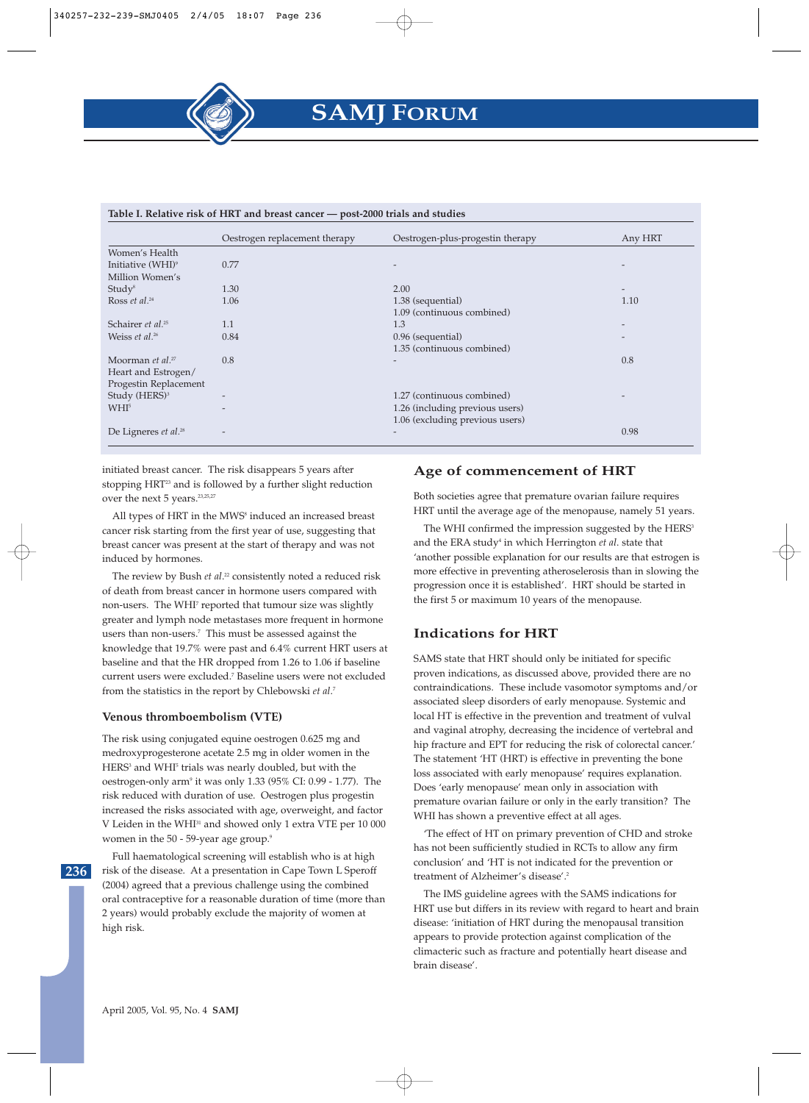#### **Table I. Relative risk of HRT and breast cancer — post-2000 trials and studies**

|                                  | AMPIC II ILCINIAI C'ILCIL CI IIILI MILIN PICHOI CHILCCI | post most transferance           |                   |
|----------------------------------|---------------------------------------------------------|----------------------------------|-------------------|
|                                  | Oestrogen replacement therapy                           | Oestrogen-plus-progestin therapy | Any HRT           |
| Women's Health                   |                                                         |                                  |                   |
| Initiative (WHI) <sup>9</sup>    | 0.77                                                    |                                  |                   |
| Million Women's                  |                                                         |                                  |                   |
| Study <sup>8</sup>               | 1.30                                                    | 2.00                             | $\qquad \qquad -$ |
| Ross et al. <sup>24</sup>        | 1.06                                                    | 1.38 (sequential)                | 1.10              |
|                                  |                                                         | 1.09 (continuous combined)       |                   |
| Schairer et al. <sup>25</sup>    | 1.1                                                     | 1.3                              |                   |
| Weiss et al. <sup>26</sup>       | 0.84                                                    | 0.96 (sequential)                |                   |
|                                  |                                                         | 1.35 (continuous combined)       |                   |
| Moorman et al. $27$              | 0.8                                                     | $\overline{\phantom{0}}$         | 0.8               |
| Heart and Estrogen/              |                                                         |                                  |                   |
| Progestin Replacement            |                                                         |                                  |                   |
| Study (HERS) <sup>3</sup>        |                                                         | 1.27 (continuous combined)       |                   |
| WHI <sup>5</sup>                 |                                                         | 1.26 (including previous users)  |                   |
|                                  |                                                         | 1.06 (excluding previous users)  |                   |
| De Ligneres et al. <sup>28</sup> |                                                         | $\overline{\phantom{0}}$         | 0.98              |
|                                  |                                                         |                                  |                   |

initiated breast cancer. The risk disappears 5 years after stopping HRT<sup>23</sup> and is followed by a further slight reduction over the next 5 years.<sup>23,25,27</sup>

All types of HRT in the MWS<sup>8</sup> induced an increased breast cancer risk starting from the first year of use, suggesting that breast cancer was present at the start of therapy and was not induced by hormones.

The review by Bush *et al*. <sup>22</sup> consistently noted a reduced risk of death from breast cancer in hormone users compared with non-users. The WHI7 reported that tumour size was slightly greater and lymph node metastases more frequent in hormone users than non-users.<sup>7</sup> This must be assessed against the knowledge that 19.7% were past and 6.4% current HRT users at baseline and that the HR dropped from 1.26 to 1.06 if baseline current users were excluded.7 Baseline users were not excluded from the statistics in the report by Chlebowski *et al*. 7

#### **Venous thromboembolism (VTE)**

The risk using conjugated equine oestrogen 0.625 mg and medroxyprogesterone acetate 2.5 mg in older women in the HERS<sup>3</sup> and WHI<sup>5</sup> trials was nearly doubled, but with the oestrogen-only arm<sup>9</sup> it was only 1.33 (95% CI: 0.99 - 1.77). The risk reduced with duration of use. Oestrogen plus progestin increased the risks associated with age, overweight, and factor V Leiden in the WHI31 and showed only 1 extra VTE per 10 000 women in the 50 - 59-year age group.<sup>9</sup>

**236**

Full haematological screening will establish who is at high risk of the disease. At a presentation in Cape Town L Speroff (2004) agreed that a previous challenge using the combined oral contraceptive for a reasonable duration of time (more than 2 years) would probably exclude the majority of women at high risk.

## **Age of commencement of HRT**

Both societies agree that premature ovarian failure requires HRT until the average age of the menopause, namely 51 years.

The WHI confirmed the impression suggested by the HERS<sup>3</sup> and the ERA study<sup>4</sup> in which Herrington *et al*. state that 'another possible explanation for our results are that estrogen is more effective in preventing atheroselerosis than in slowing the progression once it is established'. HRT should be started in the first 5 or maximum 10 years of the menopause.

#### **Indications for HRT**

SAMS state that HRT should only be initiated for specific proven indications, as discussed above, provided there are no contraindications. These include vasomotor symptoms and/or associated sleep disorders of early menopause. Systemic and local HT is effective in the prevention and treatment of vulval and vaginal atrophy, decreasing the incidence of vertebral and hip fracture and EPT for reducing the risk of colorectal cancer.' The statement 'HT (HRT) is effective in preventing the bone loss associated with early menopause' requires explanation. Does 'early menopause' mean only in association with premature ovarian failure or only in the early transition? The WHI has shown a preventive effect at all ages.

'The effect of HT on primary prevention of CHD and stroke has not been sufficiently studied in RCTs to allow any firm conclusion' and 'HT is not indicated for the prevention or treatment of Alzheimer's disease'.2

The IMS guideline agrees with the SAMS indications for HRT use but differs in its review with regard to heart and brain disease: 'initiation of HRT during the menopausal transition appears to provide protection against complication of the climacteric such as fracture and potentially heart disease and brain disease'.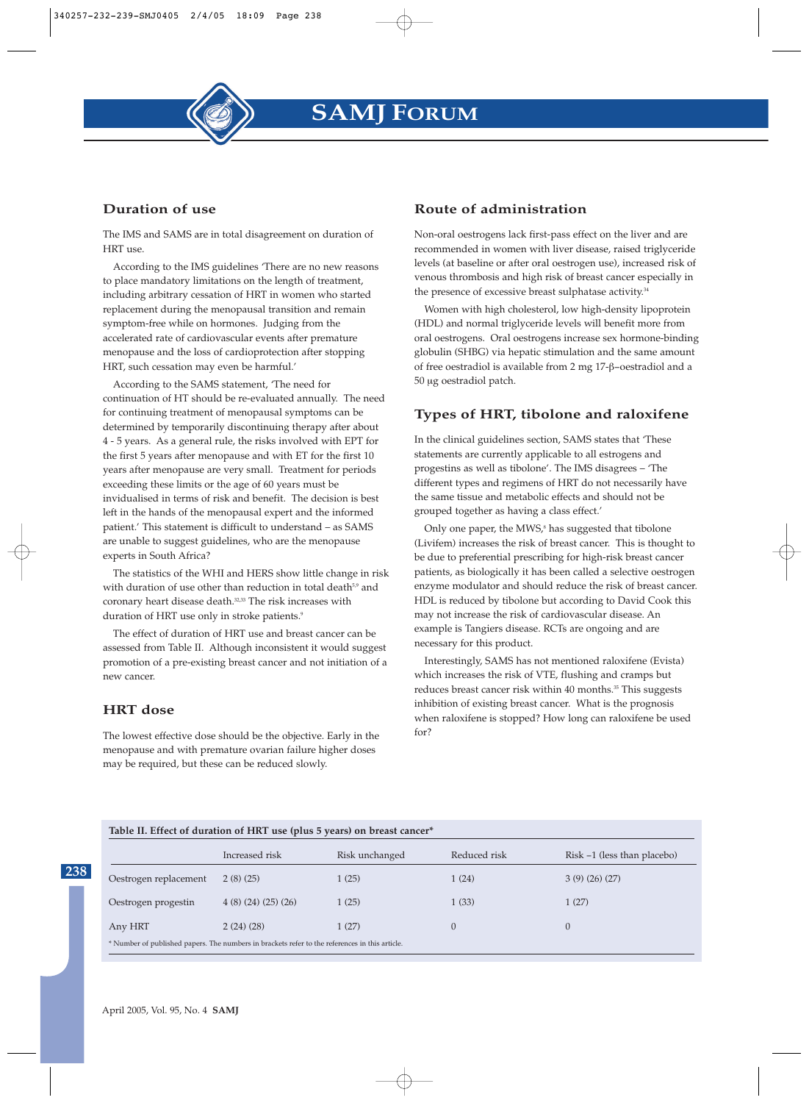## **Duration of use**

The IMS and SAMS are in total disagreement on duration of HRT use.

According to the IMS guidelines 'There are no new reasons to place mandatory limitations on the length of treatment, including arbitrary cessation of HRT in women who started replacement during the menopausal transition and remain symptom-free while on hormones. Judging from the accelerated rate of cardiovascular events after premature menopause and the loss of cardioprotection after stopping HRT, such cessation may even be harmful.'

According to the SAMS statement, 'The need for continuation of HT should be re-evaluated annually. The need for continuing treatment of menopausal symptoms can be determined by temporarily discontinuing therapy after about 4 - 5 years. As a general rule, the risks involved with EPT for the first 5 years after menopause and with ET for the first 10 years after menopause are very small. Treatment for periods exceeding these limits or the age of 60 years must be invidualised in terms of risk and benefit. The decision is best left in the hands of the menopausal expert and the informed patient.' This statement is difficult to understand – as SAMS are unable to suggest guidelines, who are the menopause experts in South Africa?

The statistics of the WHI and HERS show little change in risk with duration of use other than reduction in total death<sup>5,9</sup> and coronary heart disease death.<sup>32,33</sup> The risk increases with duration of HRT use only in stroke patients.<sup>9</sup>

The effect of duration of HRT use and breast cancer can be assessed from Table II. Although inconsistent it would suggest promotion of a pre-existing breast cancer and not initiation of a new cancer.

## **HRT dose**

**238**

The lowest effective dose should be the objective. Early in the menopause and with premature ovarian failure higher doses may be required, but these can be reduced slowly.

## **Route of administration**

Non-oral oestrogens lack first-pass effect on the liver and are recommended in women with liver disease, raised triglyceride levels (at baseline or after oral oestrogen use), increased risk of venous thrombosis and high risk of breast cancer especially in the presence of excessive breast sulphatase activity.<sup>34</sup>

Women with high cholesterol, low high-density lipoprotein (HDL) and normal triglyceride levels will benefit more from oral oestrogens. Oral oestrogens increase sex hormone-binding globulin (SHBG) via hepatic stimulation and the same amount of free oestradiol is available from 2 mg 17-β−οestradiol and a 50 µg oestradiol patch.

## **Types of HRT, tibolone and raloxifene**

In the clinical guidelines section, SAMS states that 'These statements are currently applicable to all estrogens and progestins as well as tibolone'. The IMS disagrees – 'The different types and regimens of HRT do not necessarily have the same tissue and metabolic effects and should not be grouped together as having a class effect.'

Only one paper, the MWS,<sup>8</sup> has suggested that tibolone (Livifem) increases the risk of breast cancer. This is thought to be due to preferential prescribing for high-risk breast cancer patients, as biologically it has been called a selective oestrogen enzyme modulator and should reduce the risk of breast cancer. HDL is reduced by tibolone but according to David Cook this may not increase the risk of cardiovascular disease. An example is Tangiers disease. RCTs are ongoing and are necessary for this product.

Interestingly, SAMS has not mentioned raloxifene (Evista) which increases the risk of VTE, flushing and cramps but reduces breast cancer risk within 40 months.<sup>35</sup> This suggests inhibition of existing breast cancer. What is the prognosis when raloxifene is stopped? How long can raloxifene be used for?

#### **Table II. Effect of duration of HRT use (plus 5 years) on breast cancer\***

|                                                                                                | Increased risk   | Risk unchanged | Reduced risk | $Risk -1$ (less than placebo) |  |  |
|------------------------------------------------------------------------------------------------|------------------|----------------|--------------|-------------------------------|--|--|
| Oestrogen replacement                                                                          | 2(8)(25)         | 1(25)          | 1(24)        | 3(9)(26)(27)                  |  |  |
| Oestrogen progestin                                                                            | 4(8)(24)(25)(26) | 1(25)          | 1(33)        | 1(27)                         |  |  |
| Any HRT                                                                                        | 2(24)(28)        | 1(27)          | $\theta$     |                               |  |  |
| * Number of published papers. The numbers in brackets refer to the references in this article. |                  |                |              |                               |  |  |